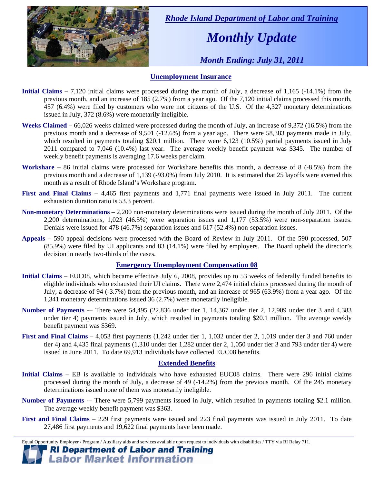

 *Rhode Island Department of Labor and Training* 

# *Monthly Update*

 *Month Ending: July 31, 2011* 

### **Unemployment Insurance**

- **Initial Claims** 7,120 initial claims were processed during the month of July, a decrease of 1,165 (-14.1%) from the previous month, and an increase of 185 (2.7%) from a year ago. Of the 7,120 initial claims processed this month, 457 (6.4%) were filed by customers who were not citizens of the U.S. Of the 4,327 monetary determinations issued in July, 372 (8.6%) were monetarily ineligible.
- **Weeks Claimed** 66,026 weeks claimed were processed during the month of July, an increase of 9,372 (16.5%) from the previous month and a decrease of 9,501 (-12.6%) from a year ago. There were 58,383 payments made in July, which resulted in payments totaling \$20.1 million. There were 6,123 (10.5%) partial payments issued in July 2011 compared to 7,046 (10.4%) last year. The average weekly benefit payment was \$345. The number of weekly benefit payments is averaging 17.6 weeks per claim.
- **Workshare –** 86 initial claims were processed for Workshare benefits this month, a decrease of 8 (-8.5%) from the previous month and a decrease of 1,139 (-93.0%) from July 2010. It is estimated that 25 layoffs were averted this month as a result of Rhode Island's Workshare program.
- **First and Final Claims –** 4,465 first payments and 1,771 final payments were issued in July 2011. The current exhaustion duration ratio is 53.3 percent.
- **Non-monetary Determinations –** 2,200 non-monetary determinations were issued during the month of July 2011. Of the 2,200 determinations, 1,023 (46.5%) were separation issues and 1,177 (53.5%) were non-separation issues. Denials were issued for 478 (46.7%) separation issues and 617 (52.4%) non-separation issues.
- **Appeals** 590 appeal decisions were processed with the Board of Review in July 2011. Of the 590 processed, 507 (85.9%) were filed by UI applicants and 83 (14.1%) were filed by employers. The Board upheld the director's decision in nearly two-thirds of the cases.

### **Emergency Unemployment Compensation 08**

- **Initial Claims**  EUC08, which became effective July 6, 2008, provides up to 53 weeks of federally funded benefits to eligible individuals who exhausted their UI claims. There were 2,474 initial claims processed during the month of July, a decrease of 94 (-3.7%) from the previous month, and an increase of 965 (63.9%) from a year ago. Of the 1,341 monetary determinations issued  $36(2.7%)$  were monetarily ineligible.
- **Number of Payments** -– There were 54,495 (22,836 under tier 1, 14,367 under tier 2, 12,909 under tier 3 and 4,383 under tier 4) payments issued in July, which resulted in payments totaling \$20.1 million. The average weekly benefit payment was \$369.
- **First and Final Claims**  4,053 first payments (1,242 under tier 1, 1,032 under tier 2, 1,019 under tier 3 and 760 under tier 4) and 4,435 final payments (1,310 under tier 1,282 under tier 2, 1,050 under tier 3 and 793 under tier 4) were issued in June 2011. To date 69,913 individuals have collected EUC08 benefits.

### **Extended Benefits**

- **Initial Claims**  EB is available to individuals who have exhausted EUC08 claims. There were 296 initial claims processed during the month of July, a decrease of 49 (-14.2%) from the previous month. Of the 245 monetary determinations issued none of them was monetarily ineligible.
- **Number of Payments** There were 5,799 payments issued in July, which resulted in payments totaling \$2.1 million. The average weekly benefit payment was \$363.
- **First and Final Claims**  229 first payments were issued and 223 final payments was issued in July 2011. To date 27,486 first payments and 19,622 final payments have been made.

Equal Opportunity Employer / Program / Auxiliary aids and services available upon request to individuals with disabilities / TTY via RI Relay 711. **RI Department of Labor and Training** 

## **Labor Market Information**